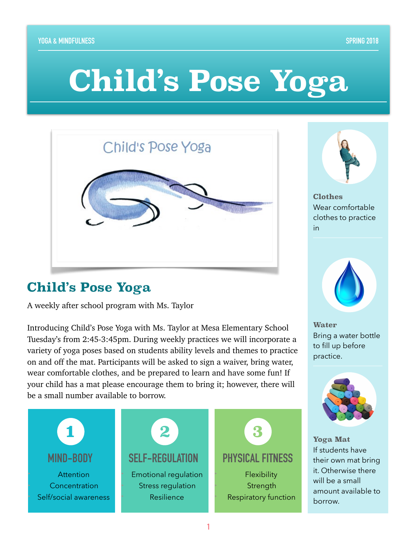# **Child's Pose Yoga**

| Child's Pose Yoga |
|-------------------|
|                   |

## **Child's Pose Yoga**

A weekly after school program with Ms. Taylor

Introducing Child's Pose Yoga with Ms. Taylor at Mesa Elementary School Tuesday's from 2:45-3:45pm. During weekly practices we will incorporate a variety of yoga poses based on students ability levels and themes to practice on and off the mat. Participants will be asked to sign a waiver, bring water, wear comfortable clothes, and be prepared to learn and have some fun! If your child has a mat please encourage them to bring it; however, there will be a small number available to borrow.





**Clothes** Wear comfortable clothes to practice in



**Water** Bring a water bottle to fill up before practice.



**Yoga Mat** If students have their own mat bring it. Otherwise there will be a small amount available to borrow.